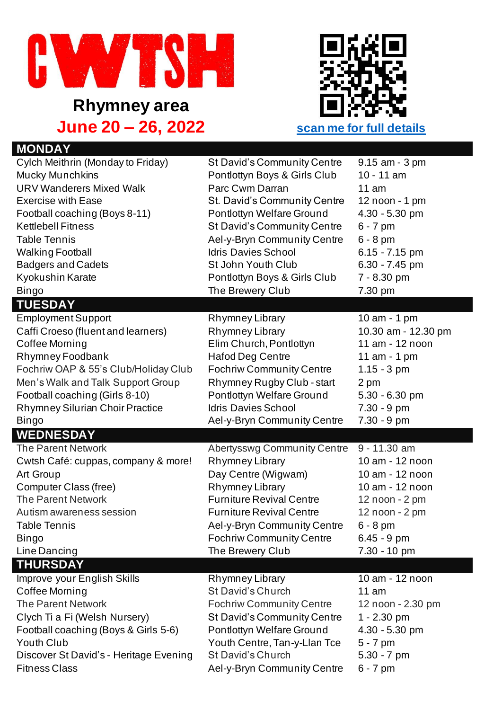

**Rhymney area June 20 – 26, 2022 scan me for full details**



| <b>MONDAY</b>                          |                                        |                     |
|----------------------------------------|----------------------------------------|---------------------|
| Cylch Meithrin (Monday to Friday)      | St David's Community Centre            | 9.15 am - 3 pm      |
| Mucky Munchkins                        | Pontlottyn Boys & Girls Club           | $10 - 11$ am        |
| <b>URV Wanderers Mixed Walk</b>        | Parc Cwm Darran                        | 11 am               |
| <b>Exercise with Ease</b>              | St. David's Community Centre           | 12 noon - 1 pm      |
| Football coaching (Boys 8-11)          | Pontlottyn Welfare Ground              | 4.30 - 5.30 pm      |
| <b>Kettlebell Fitness</b>              | St David's Community Centre            | $6 - 7$ pm          |
| <b>Table Tennis</b>                    | Ael-y-Bryn Community Centre            | $6 - 8$ pm          |
| <b>Walking Football</b>                | <b>Idris Davies School</b>             | $6.15 - 7.15$ pm    |
| <b>Badgers and Cadets</b>              | St John Youth Club                     | $6.30 - 7.45$ pm    |
| Kyokushin Karate                       | Pontlottyn Boys & Girls Club           | 7 - 8.30 pm         |
| <b>Bingo</b>                           | The Brewery Club                       | 7.30 pm             |
| <b>TUESDAY</b>                         |                                        |                     |
| <b>Employment Support</b>              | <b>Rhymney Library</b>                 | 10 am - 1 pm        |
| Caffi Croeso (fluent and learners)     | Rhymney Library                        | 10.30 am - 12.30 pm |
| Coffee Morning                         | Elim Church, Pontlottyn                | 11 am - 12 noon     |
| Rhymney Foodbank                       | <b>Hafod Deg Centre</b>                | 11 am - 1 pm        |
| Fochriw OAP & 55's Club/Holiday Club   | <b>Fochriw Community Centre</b>        | $1.15 - 3$ pm       |
| Men's Walk and Talk Support Group      | Rhymney Rugby Club - start             | 2 pm                |
| Football coaching (Girls 8-10)         | Pontlottyn Welfare Ground              | $5.30 - 6.30$ pm    |
| <b>Rhymney Silurian Choir Practice</b> | <b>Idris Davies School</b>             | 7.30 - 9 pm         |
|                                        |                                        |                     |
| <b>Bingo</b>                           | Ael-y-Bryn Community Centre            | 7.30 - 9 pm         |
| <b>WEDNESDAY</b>                       |                                        |                     |
| <b>The Parent Network</b>              | <b>Abertysswg Community Centre</b>     | 9 - 11.30 am        |
| Cwtsh Café: cuppas, company & more!    | Rhymney Library                        | 10 am - 12 noon     |
| <b>Art Group</b>                       |                                        | 10 am - 12 noon     |
| Computer Class (free)                  | Day Centre (Wigwam)<br>Rhymney Library | 10 am - 12 noon     |
| <b>The Parent Network</b>              | <b>Furniture Revival Centre</b>        | 12 noon - 2 pm      |
| Autism awareness session               | <b>Furniture Revival Centre</b>        | 12 noon - 2 pm      |
| Table Tennis                           | Ael-y-Bryn Community Centre            | $6 - 8$ pm          |
| <b>Bingo</b>                           | <b>Fochriw Community Centre</b>        | $6.45 - 9$ pm       |
| Line Dancing                           | The Brewery Club                       | 7.30 - 10 pm        |
| <b>THURSDAY</b>                        |                                        |                     |
| Improve your English Skills            | Rhymney Library                        | 10 am - 12 noon     |
| <b>Coffee Morning</b>                  | <b>St David's Church</b>               | 11 am               |
| <b>The Parent Network</b>              | <b>Fochriw Community Centre</b>        | 12 noon - 2.30 pm   |
| Clych Ti a Fi (Welsh Nursery)          | St David's Community Centre            | $1 - 2.30$ pm       |
| Football coaching (Boys & Girls 5-6)   | Pontlottyn Welfare Ground              | 4.30 - 5.30 pm      |
| <b>Youth Club</b>                      | Youth Centre, Tan-y-Llan Tce           | $5 - 7$ pm          |
| Discover St David's - Heritage Evening | St David's Church                      | $5.30 - 7$ pm       |
| <b>Fitness Class</b>                   | Ael-y-Bryn Community Centre            | $6 - 7$ pm          |